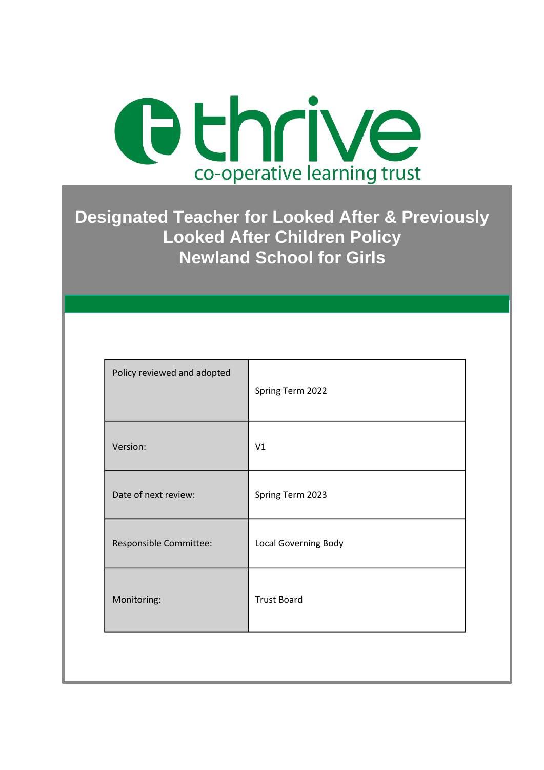

**Designated Teacher for Looked After & Previously Looked After Children Policy Newland School for Girls**

| Spring Term 2022            |
|-----------------------------|
| V <sub>1</sub>              |
| Spring Term 2023            |
| <b>Local Governing Body</b> |
| <b>Trust Board</b>          |
|                             |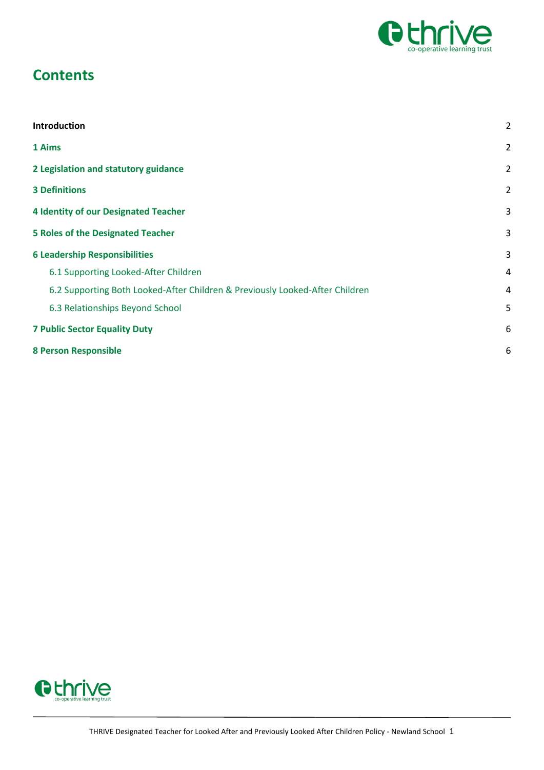

# **Contents**

| Introduction                                                                 | $\overline{2}$ |
|------------------------------------------------------------------------------|----------------|
| 1 Aims                                                                       | $\overline{2}$ |
| 2 Legislation and statutory guidance                                         | $\overline{2}$ |
| <b>3 Definitions</b>                                                         | $\overline{2}$ |
| <b>4 Identity of our Designated Teacher</b>                                  | 3              |
| <b>5 Roles of the Designated Teacher</b>                                     | 3              |
| <b>6 Leadership Responsibilities</b>                                         | 3              |
| 6.1 Supporting Looked-After Children                                         | 4              |
| 6.2 Supporting Both Looked-After Children & Previously Looked-After Children | $\overline{4}$ |
| 6.3 Relationships Beyond School                                              | 5              |
| <b>7 Public Sector Equality Duty</b>                                         | 6              |
| <b>8 Person Responsible</b>                                                  | 6              |

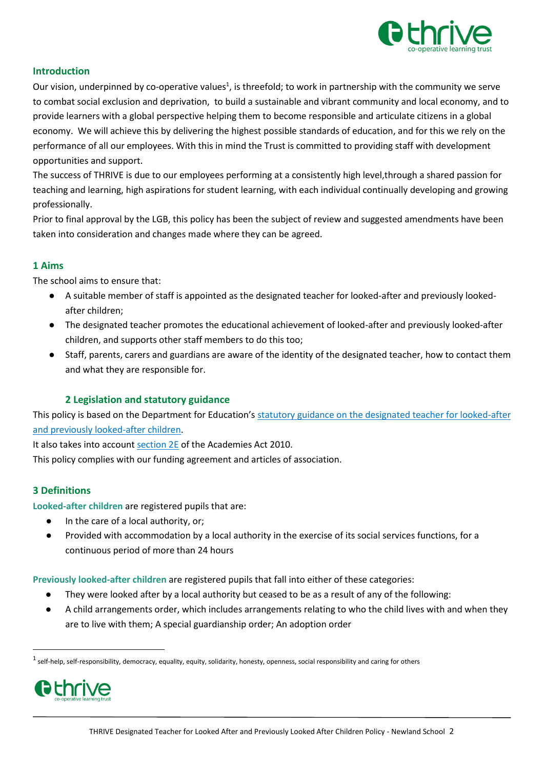

### <span id="page-2-0"></span>**Introduction**

Our vision, underpinned by co-operative values<sup>1</sup>, is threefold; to work in partnership with the community we serve to combat social exclusion and deprivation, to build a sustainable and vibrant community and local economy, and to provide learners with a global perspective helping them to become responsible and articulate citizens in a global economy. We will achieve this by delivering the highest possible standards of education, and for this we rely on the performance of all our employees. With this in mind the Trust is committed to providing staff with development opportunities and support.

The success of THRIVE is due to our employees performing at a consistently high level,through a shared passion for teaching and learning, high aspirations for student learning, with each individual continually developing and growing professionally.

Prior to final approval by the LGB, this policy has been the subject of review and suggested amendments have been taken into consideration and changes made where they can be agreed.

#### <span id="page-2-1"></span>**1 Aims**

The school aims to ensure that:

- A suitable member of staff is appointed as the designated teacher for looked-after and previously lookedafter children;
- The designated teacher promotes the educational achievement of looked-after and previously looked-after children, and supports other staff members to do this too;
- Staff, parents, carers and guardians are aware of the identity of the designated teacher, how to contact them and what they are responsible for.

## **2 Legislation and statutory guidance**

<span id="page-2-2"></span>This policy is based on the Department for Education's [statutory guidance on the designated teacher for looked-after](https://www.gov.uk/government/publications/designated-teacher-for-looked-after-children)  [and previously looked-after children.](https://www.gov.uk/government/publications/designated-teacher-for-looked-after-children)

It also takes into account [section 2E](http://www.legislation.gov.uk/ukpga/2010/32/section/2E) of the Academies Act 2010.

This policy complies with our funding agreement and articles of association.

#### <span id="page-2-3"></span>**3 Definitions**

**Looked-after children** are registered pupils that are:

- In the care of a local authority, or;
- Provided with accommodation by a local authority in the exercise of its social services functions, for a continuous period of more than 24 hours

**Previously looked-after children** are registered pupils that fall into either of these categories:

- They were looked after by a local authority but ceased to be as a result of any of the following:
- A child arrangements order, which includes arrangements relating to who the child lives with and when they are to live with them; A special guardianship order; An adoption order

 $^1$  self-help, self-responsibility, democracy, equality, equity, solidarity, honesty, openness, social responsibility and caring for others



1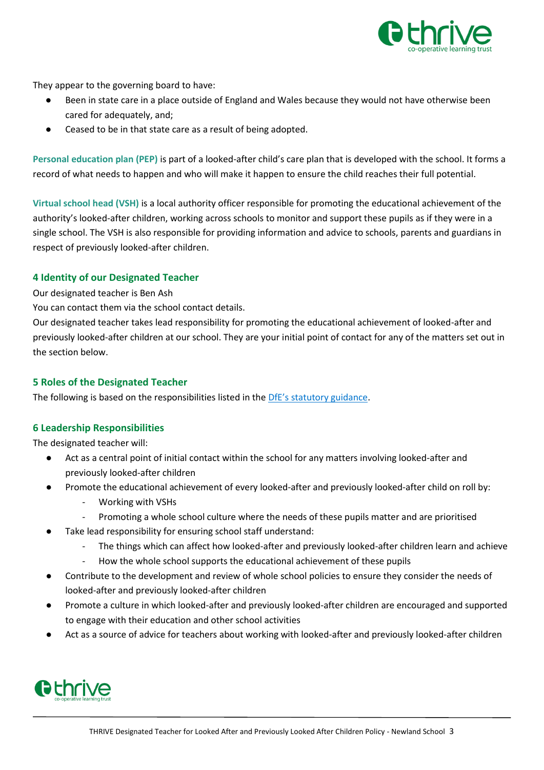

They appear to the governing board to have:

- Been in state care in a place outside of England and Wales because they would not have otherwise been cared for adequately, and;
- Ceased to be in that state care as a result of being adopted.

**Personal education plan (PEP)** is part of a looked-after child's care plan that is developed with the school. It forms a record of what needs to happen and who will make it happen to ensure the child reaches their full potential.

**Virtual school head (VSH)** is a local authority officer responsible for promoting the educational achievement of the authority's looked-after children, working across schools to monitor and support these pupils as if they were in a single school. The VSH is also responsible for providing information and advice to schools, parents and guardians in respect of previously looked-after children.

### <span id="page-3-0"></span>**4 Identity of our Designated Teacher**

Our designated teacher is Ben Ash

You can contact them via the school contact details.

Our designated teacher takes lead responsibility for promoting the educational achievement of looked-after and previously looked-after children at our school. They are your initial point of contact for any of the matters set out in the section below.

#### <span id="page-3-1"></span>**5 Roles of the Designated Teacher**

The following is based on the responsibilities listed in the [DfE's statutory guidance](https://www.gov.uk/government/publications/designated-teacher-for-looked-after-children).

#### <span id="page-3-2"></span>**6 Leadership Responsibilities**

The designated teacher will:

- Act as a central point of initial contact within the school for any matters involving looked-after and previously looked-after children
- Promote the educational achievement of every looked-after and previously looked-after child on roll by:
	- Working with VSHs
	- Promoting a whole school culture where the needs of these pupils matter and are prioritised
- Take lead responsibility for ensuring school staff understand:
	- The things which can affect how looked-after and previously looked-after children learn and achieve
	- How the whole school supports the educational achievement of these pupils
- Contribute to the development and review of whole school policies to ensure they consider the needs of looked-after and previously looked-after children
- Promote a culture in which looked-after and previously looked-after children are encouraged and supported to engage with their education and other school activities
- Act as a source of advice for teachers about working with looked-after and previously looked-after children

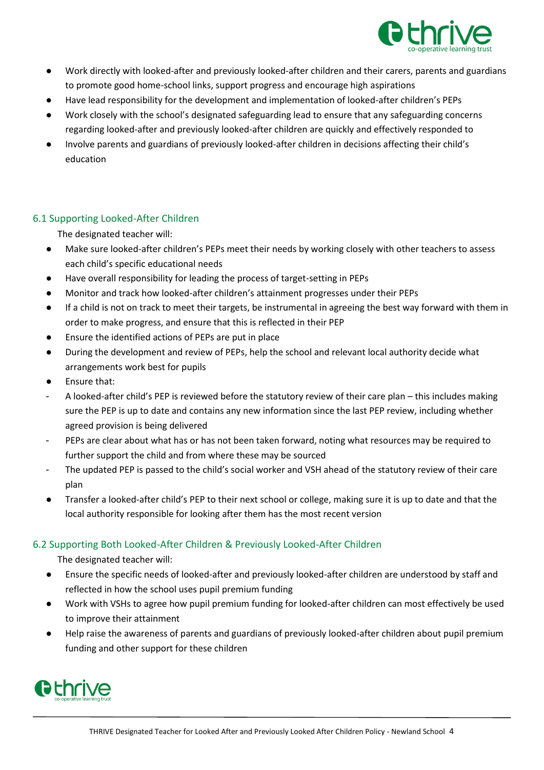

- Work directly with looked-after and previously looked-after children and their carers, parents and guardians to promote good home-school links, support progress and encourage high aspirations
- Have lead responsibility for the development and implementation of looked-after children's PEPs
- Work closely with the school's designated safeguarding lead to ensure that any safeguarding concerns regarding looked-after and previously looked-after children are quickly and effectively responded to
- Involve parents and guardians of previously looked-after children in decisions affecting their child's education

## <span id="page-4-0"></span>6.1 Supporting Looked-After Children

The designated teacher will:

- Make sure looked-after children's PEPs meet their needs by working closely with other teachers to assess each child's specific educational needs
- Have overall responsibility for leading the process of target-setting in PEPs
- Monitor and track how looked-after children's attainment progresses under their PEPs
- If a child is not on track to meet their targets, be instrumental in agreeing the best way forward with them in order to make progress, and ensure that this is reflected in their PEP
- Ensure the identified actions of PEPs are put in place
- During the development and review of PEPs, help the school and relevant local authority decide what arrangements work best for pupils
- Ensure that:
- A looked-after child's PEP is reviewed before the statutory review of their care plan this includes making sure the PEP is up to date and contains any new information since the last PEP review, including whether agreed provision is being delivered
- PEPs are clear about what has or has not been taken forward, noting what resources may be required to further support the child and from where these may be sourced
- The updated PEP is passed to the child's social worker and VSH ahead of the statutory review of their care plan
- Transfer a looked-after child's PEP to their next school or college, making sure it is up to date and that the local authority responsible for looking after them has the most recent version

# <span id="page-4-1"></span>6.2 Supporting Both Looked-After Children & Previously Looked-After Children

The designated teacher will:

- Ensure the specific needs of looked-after and previously looked-after children are understood by staff and reflected in how the school uses pupil premium funding
- Work with VSHs to agree how pupil premium funding for looked-after children can most effectively be used to improve their attainment
- Help raise the awareness of parents and guardians of previously looked-after children about pupil premium funding and other support for these children

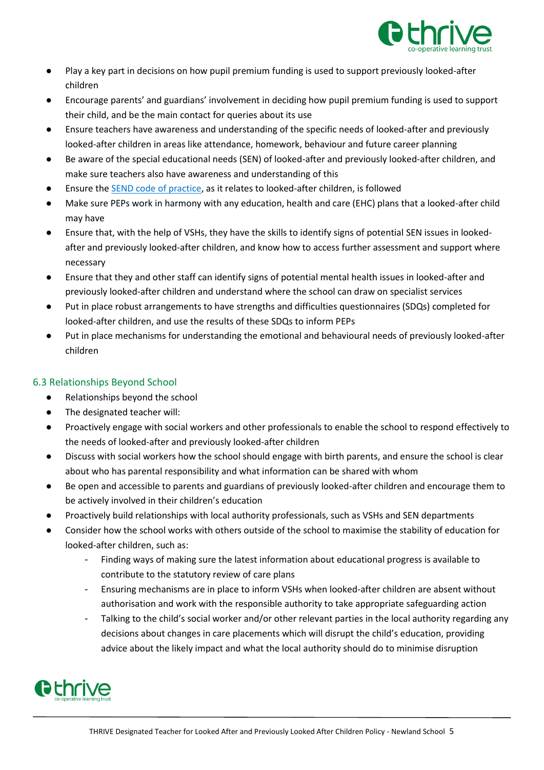

- Play a key part in decisions on how pupil premium funding is used to support previously looked-after children
- Encourage parents' and guardians' involvement in deciding how pupil premium funding is used to support their child, and be the main contact for queries about its use
- Ensure teachers have awareness and understanding of the specific needs of looked-after and previously looked-after children in areas like attendance, homework, behaviour and future career planning
- Be aware of the special educational needs (SEN) of looked-after and previously looked-after children, and make sure teachers also have awareness and understanding of this
- Ensure the [SEND code of practice,](https://www.gov.uk/government/publications/send-code-of-practice-0-to-25) as it relates to looked-after children, is followed
- Make sure PEPs work in harmony with any education, health and care (EHC) plans that a looked-after child may have
- Ensure that, with the help of VSHs, they have the skills to identify signs of potential SEN issues in lookedafter and previously looked-after children, and know how to access further assessment and support where necessary
- Ensure that they and other staff can identify signs of potential mental health issues in looked-after and previously looked-after children and understand where the school can draw on specialist services
- Put in place robust arrangements to have strengths and difficulties questionnaires (SDQs) completed for looked-after children, and use the results of these SDQs to inform PEPs
- Put in place mechanisms for understanding the emotional and behavioural needs of previously looked-after children

# <span id="page-5-0"></span>6.3 Relationships Beyond School

- Relationships beyond the school
- The designated teacher will:
- Proactively engage with social workers and other professionals to enable the school to respond effectively to the needs of looked-after and previously looked-after children
- Discuss with social workers how the school should engage with birth parents, and ensure the school is clear about who has parental responsibility and what information can be shared with whom
- Be open and accessible to parents and guardians of previously looked-after children and encourage them to be actively involved in their children's education
- Proactively build relationships with local authority professionals, such as VSHs and SEN departments
- Consider how the school works with others outside of the school to maximise the stability of education for looked-after children, such as:
	- Finding ways of making sure the latest information about educational progress is available to contribute to the statutory review of care plans
	- Ensuring mechanisms are in place to inform VSHs when looked-after children are absent without authorisation and work with the responsible authority to take appropriate safeguarding action
	- Talking to the child's social worker and/or other relevant parties in the local authority regarding any decisions about changes in care placements which will disrupt the child's education, providing advice about the likely impact and what the local authority should do to minimise disruption

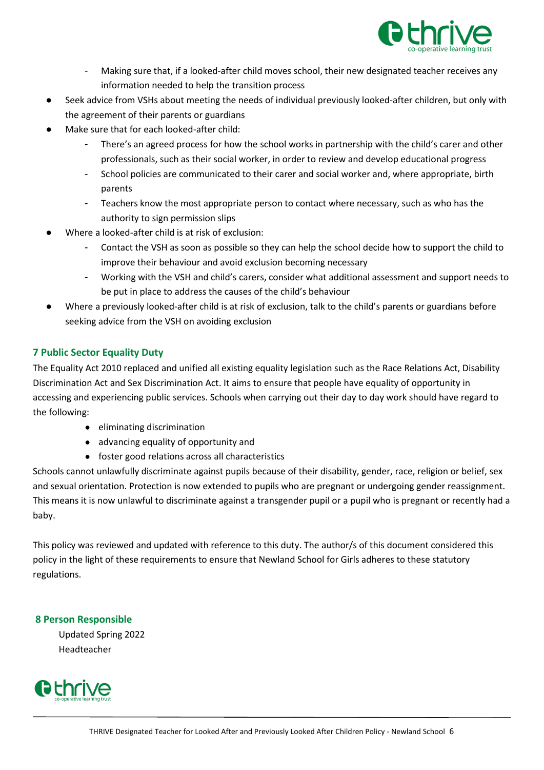

- Making sure that, if a looked-after child moves school, their new designated teacher receives any information needed to help the transition process
- Seek advice from VSHs about meeting the needs of individual previously looked-after children, but only with the agreement of their parents or guardians
- Make sure that for each looked-after child:
	- There's an agreed process for how the school works in partnership with the child's carer and other professionals, such as their social worker, in order to review and develop educational progress
	- School policies are communicated to their carer and social worker and, where appropriate, birth parents
	- Teachers know the most appropriate person to contact where necessary, such as who has the authority to sign permission slips
- Where a looked-after child is at risk of exclusion:
	- Contact the VSH as soon as possible so they can help the school decide how to support the child to improve their behaviour and avoid exclusion becoming necessary
	- Working with the VSH and child's carers, consider what additional assessment and support needs to be put in place to address the causes of the child's behaviour
- Where a previously looked-after child is at risk of exclusion, talk to the child's parents or guardians before seeking advice from the VSH on avoiding exclusion

# <span id="page-6-0"></span>**7 Public Sector Equality Duty**

The Equality Act 2010 replaced and unified all existing equality legislation such as the Race Relations Act, Disability Discrimination Act and Sex Discrimination Act. It aims to ensure that people have equality of opportunity in accessing and experiencing public services. Schools when carrying out their day to day work should have regard to the following:

- eliminating discrimination
- advancing equality of opportunity and
- foster good relations across all characteristics

Schools cannot unlawfully discriminate against pupils because of their disability, gender, race, religion or belief, sex and sexual orientation. Protection is now extended to pupils who are pregnant or undergoing gender reassignment. This means it is now unlawful to discriminate against a transgender pupil or a pupil who is pregnant or recently had a baby.

This policy was reviewed and updated with reference to this duty. The author/s of this document considered this policy in the light of these requirements to ensure that Newland School for Girls adheres to these statutory regulations.

## <span id="page-6-1"></span>**8 Person Responsible**

Updated Spring 2022 Headteacher